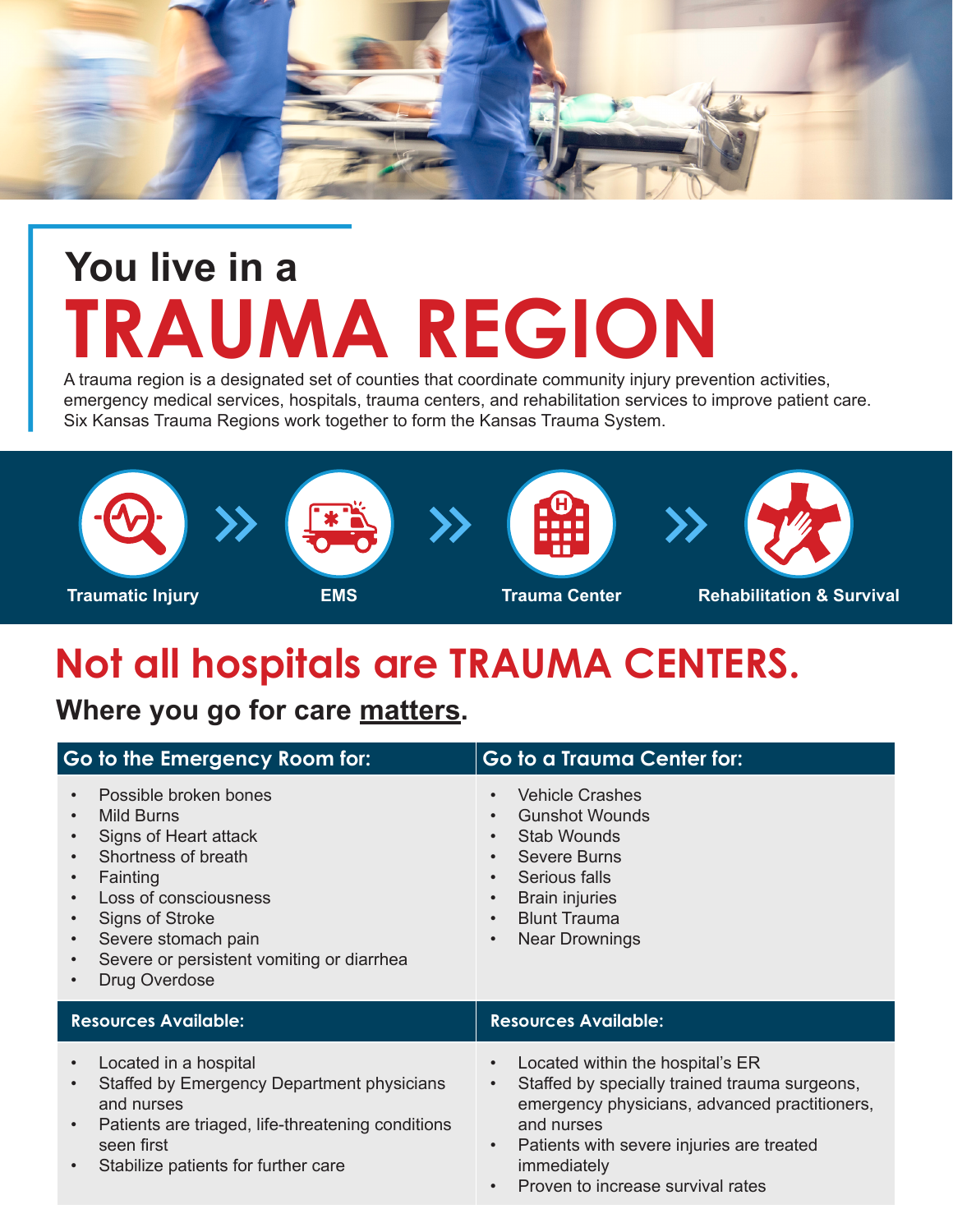

# **You live in a TRAUMA REGION**

A trauma region is a designated set of counties that coordinate community injury prevention activities, emergency medical services, hospitals, trauma centers, and rehabilitation services to improve patient care. Six Kansas Trauma Regions work together to form the Kansas Trauma System.



## **Not all hospitals are TRAUMA CENTERS.**

**Where you go for care matters.**

| Go to the Emergency Room for:                                                                                                                                                                                                                                                                                                | Go to a Trauma Center for:                                                                                                                                                                                                                                                                            |
|------------------------------------------------------------------------------------------------------------------------------------------------------------------------------------------------------------------------------------------------------------------------------------------------------------------------------|-------------------------------------------------------------------------------------------------------------------------------------------------------------------------------------------------------------------------------------------------------------------------------------------------------|
| Possible broken bones<br>$\bullet$<br><b>Mild Burns</b><br>$\bullet$<br>Signs of Heart attack<br>Shortness of breath<br>Fainting<br>$\bullet$<br>Loss of consciousness<br><b>Signs of Stroke</b><br>$\bullet$<br>Severe stomach pain<br>$\bullet$<br>Severe or persistent vomiting or diarrhea<br>$\bullet$<br>Drug Overdose | <b>Vehicle Crashes</b><br>$\bullet$<br><b>Gunshot Wounds</b><br>$\bullet$<br><b>Stab Wounds</b><br>$\bullet$<br><b>Severe Burns</b><br>$\bullet$<br>Serious falls<br>$\bullet$<br><b>Brain injuries</b><br>$\bullet$<br><b>Blunt Trauma</b><br>$\bullet$<br><b>Near Drownings</b><br>$\bullet$        |
| <b>Resources Available:</b>                                                                                                                                                                                                                                                                                                  | <b>Resources Available:</b>                                                                                                                                                                                                                                                                           |
| Located in a hospital<br>$\bullet$<br>Staffed by Emergency Department physicians<br>$\bullet$<br>and nurses<br>Patients are triaged, life-threatening conditions<br>$\bullet$<br>seen first<br>Stabilize patients for further care<br>$\bullet$                                                                              | Located within the hospital's ER<br>$\bullet$<br>Staffed by specially trained trauma surgeons,<br>$\bullet$<br>emergency physicians, advanced practitioners,<br>and nurses<br>Patients with severe injuries are treated<br>$\bullet$<br>immediately<br>Proven to increase survival rates<br>$\bullet$ |